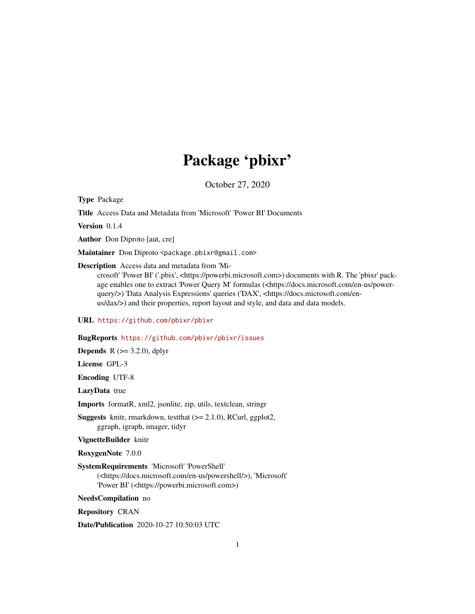# Package 'pbixr'

October 27, 2020

Type Package

Title Access Data and Metadata from 'Microsoft' 'Power BI' Documents

Version 0.1.4

Author Don Diproto [aut, cre]

Maintainer Don Diproto <package.pbixr@gmail.com>

Description Access data and metadata from 'Mi-

crosoft' 'Power BI' ('.pbix', <https://powerbi.microsoft.com>) documents with R. The 'pbixr' package enables one to extract 'Power Query M' formulas (<https://docs.microsoft.com/en-us/powerquery/>) 'Data Analysis Expressions' queries ('DAX', <https://docs.microsoft.com/enus/dax/>) and their properties, report layout and style, and data and data models.

URL <https://github.com/pbixr/pbixr>

# BugReports <https://github.com/pbixr/pbixr/issues>

**Depends** R  $(>= 3.2.0)$ , dplyr

License GPL-3

Encoding UTF-8

LazyData true

Imports formatR, xml2, jsonlite, zip, utils, textclean, stringr

Suggests knitr, rmarkdown, testthat (>= 2.1.0), RCurl, ggplot2, ggraph, igraph, imager, tidyr

VignetteBuilder knitr

RoxygenNote 7.0.0

SystemRequirements 'Microsoft' 'PowerShell' (<https://docs.microsoft.com/en-us/powershell/>), 'Microsoft' 'Power BI' (<https://powerbi.microsoft.com>)

NeedsCompilation no

Repository CRAN

Date/Publication 2020-10-27 10:50:03 UTC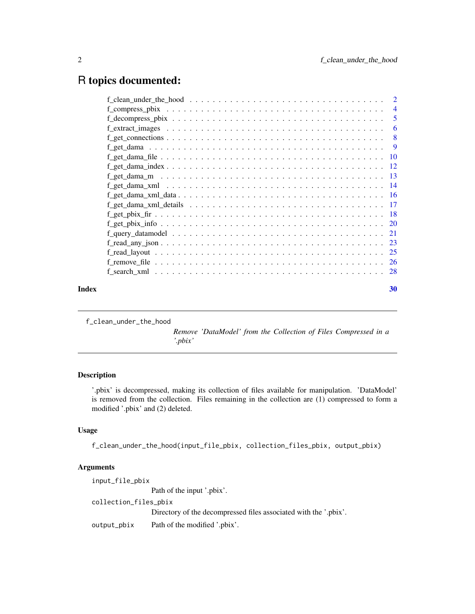# <span id="page-1-0"></span>R topics documented:

| Index | 30 |
|-------|----|

f\_clean\_under\_the\_hood

*Remove 'DataModel' from the Collection of Files Compressed in a '.pbix'*

# Description

'.pbix' is decompressed, making its collection of files available for manipulation. 'DataModel' is removed from the collection. Files remaining in the collection are (1) compressed to form a modified '.pbix' and (2) deleted.

# Usage

f\_clean\_under\_the\_hood(input\_file\_pbix, collection\_files\_pbix, output\_pbix)

# Arguments

input\_file\_pbix Path of the input '.pbix'. collection\_files\_pbix Directory of the decompressed files associated with the '.pbix'. output\_pbix Path of the modified '.pbix'.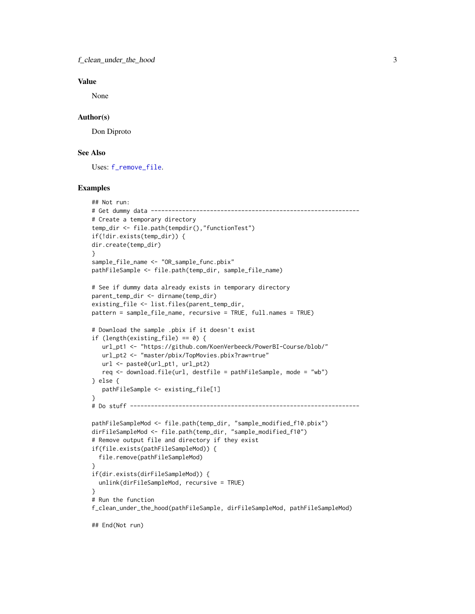# <span id="page-2-0"></span>Value

None

# Author(s)

Don Diproto

# See Also

Uses: [f\\_remove\\_file](#page-25-1).

```
## Not run:
# Get dummy data ------------------------------------------------------------
# Create a temporary directory
temp_dir <- file.path(tempdir(),"functionTest")
if(!dir.exists(temp_dir)) {
dir.create(temp_dir)
}
sample_file_name <- "OR_sample_func.pbix"
pathFileSample <- file.path(temp_dir, sample_file_name)
# See if dummy data already exists in temporary directory
parent_temp_dir <- dirname(temp_dir)
existing_file <- list.files(parent_temp_dir,
pattern = sample_file_name, recursive = TRUE, full.names = TRUE)
# Download the sample .pbix if it doesn't exist
if (length(existing_file) == 0) {
   url_pt1 <- "https://github.com/KoenVerbeeck/PowerBI-Course/blob/"
   url_pt2 <- "master/pbix/TopMovies.pbix?raw=true"
   url <- paste0(url_pt1, url_pt2)
   req \leq download.file(url, destfile = pathFileSample, mode = "wb")
} else {
   pathFileSample <- existing_file[1]
}
# Do stuff ------------------------------------------------------------------
pathFileSampleMod <- file.path(temp_dir, "sample_modified_f10.pbix")
dirFileSampleMod <- file.path(temp_dir, "sample_modified_f10")
# Remove output file and directory if they exist
if(file.exists(pathFileSampleMod)) {
  file.remove(pathFileSampleMod)
}
if(dir.exists(dirFileSampleMod)) {
  unlink(dirFileSampleMod, recursive = TRUE)
}
# Run the function
f_clean_under_the_hood(pathFileSample, dirFileSampleMod, pathFileSampleMod)
```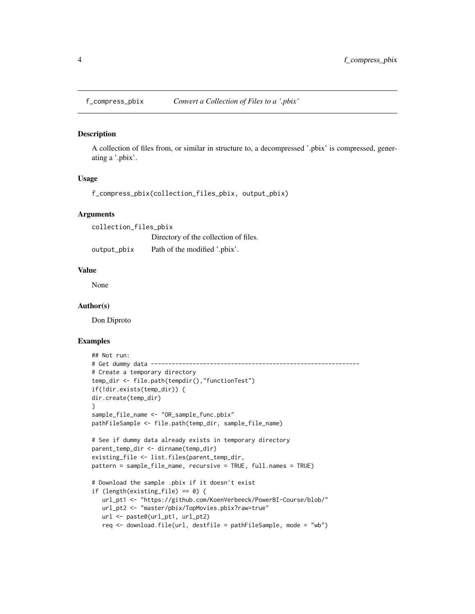<span id="page-3-1"></span><span id="page-3-0"></span>

#### Description

A collection of files from, or similar in structure to, a decompressed '.pbix' is compressed, generating a '.pbix'.

# Usage

f\_compress\_pbix(collection\_files\_pbix, output\_pbix)

#### Arguments

collection\_files\_pbix Directory of the collection of files. output\_pbix Path of the modified '.pbix'.

#### Value

None

# Author(s)

Don Diproto

```
## Not run:
# Get dummy data ------------------------------------------------------------
# Create a temporary directory
temp_dir <- file.path(tempdir(),"functionTest")
if(!dir.exists(temp_dir)) {
dir.create(temp_dir)
}
sample_file_name <- "OR_sample_func.pbix"
pathFileSample <- file.path(temp_dir, sample_file_name)
# See if dummy data already exists in temporary directory
parent_temp_dir <- dirname(temp_dir)
existing_file <- list.files(parent_temp_dir,
pattern = sample_file_name, recursive = TRUE, full.names = TRUE)
# Download the sample .pbix if it doesn't exist
if (length(existing_file) == 0) {
  url_pt1 <- "https://github.com/KoenVerbeeck/PowerBI-Course/blob/"
  url_pt2 <- "master/pbix/TopMovies.pbix?raw=true"
  url <- paste0(url_pt1, url_pt2)
  req <- download.file(url, destfile = pathFileSample, mode = "wb")
```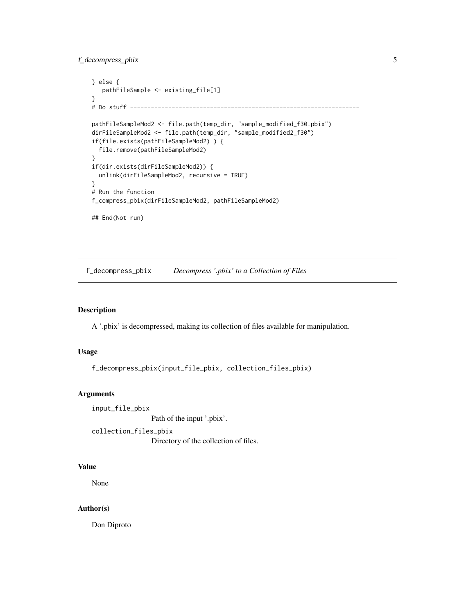# <span id="page-4-0"></span>f\_decompress\_pbix 5

```
} else {
  pathFileSample <- existing_file[1]
}
# Do stuff ------------------------------------------------------------------
pathFileSampleMod2 <- file.path(temp_dir, "sample_modified_f30.pbix")
dirFileSampleMod2 <- file.path(temp_dir, "sample_modified2_f30")
if(file.exists(pathFileSampleMod2) ) {
 file.remove(pathFileSampleMod2)
}
if(dir.exists(dirFileSampleMod2)) {
 unlink(dirFileSampleMod2, recursive = TRUE)
}
# Run the function
f_compress_pbix(dirFileSampleMod2, pathFileSampleMod2)
## End(Not run)
```
<span id="page-4-1"></span>f\_decompress\_pbix *Decompress '.pbix' to a Collection of Files*

# Description

A '.pbix' is decompressed, making its collection of files available for manipulation.

#### Usage

```
f_decompress_pbix(input_file_pbix, collection_files_pbix)
```
#### Arguments

input\_file\_pbix

Path of the input '.pbix'.

collection\_files\_pbix

Directory of the collection of files.

# Value

None

# Author(s)

Don Diproto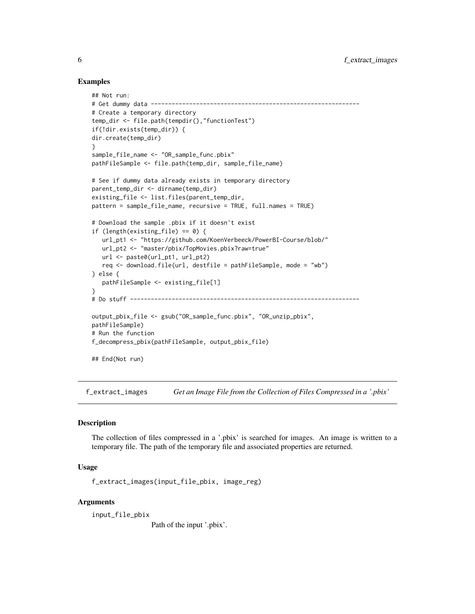# Examples

```
## Not run:
# Get dummy data ------------------------------------------------------------
# Create a temporary directory
temp_dir <- file.path(tempdir(),"functionTest")
if(!dir.exists(temp_dir)) {
dir.create(temp_dir)
}
sample_file_name <- "OR_sample_func.pbix"
pathFileSample <- file.path(temp_dir, sample_file_name)
# See if dummy data already exists in temporary directory
parent_temp_dir <- dirname(temp_dir)
existing_file <- list.files(parent_temp_dir,
pattern = sample_file_name, recursive = TRUE, full.names = TRUE)
# Download the sample .pbix if it doesn't exist
if (length(existing_file) == 0) {
   url_pt1 <- "https://github.com/KoenVerbeeck/PowerBI-Course/blob/"
   url_pt2 <- "master/pbix/TopMovies.pbix?raw=true"
   url <- paste0(url_pt1, url_pt2)
   req <- download.file(url, destfile = pathFileSample, mode = "wb")
} else {
   pathFileSample <- existing_file[1]
}
# Do stuff ------------------------------------------------------------------
output_pbix_file <- gsub("OR_sample_func.pbix", "OR_unzip_pbix",
pathFileSample)
# Run the function
f_decompress_pbix(pathFileSample, output_pbix_file)
## End(Not run)
```
f\_extract\_images *Get an Image File from the Collection of Files Compressed in a '.pbix'*

### **Description**

The collection of files compressed in a '.pbix' is searched for images. An image is written to a temporary file. The path of the temporary file and associated properties are returned.

#### Usage

f\_extract\_images(input\_file\_pbix, image\_reg)

# Arguments

input\_file\_pbix

Path of the input '.pbix'.

<span id="page-5-0"></span>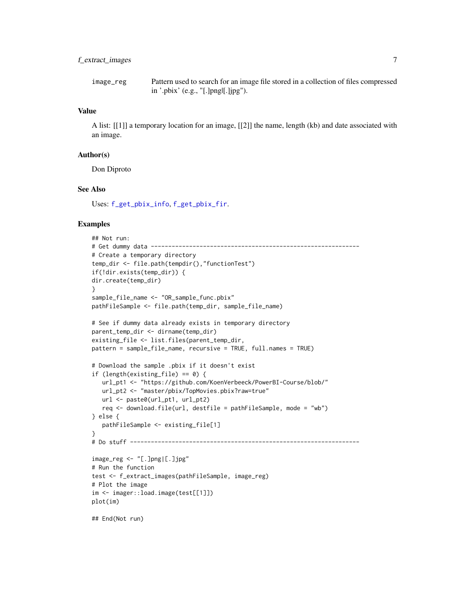<span id="page-6-0"></span>image\_reg Pattern used to search for an image file stored in a collection of files compressed in '.pbix' (e.g., "[.]png|[.]jpg").

# Value

A list: [[1]] a temporary location for an image, [[2]] the name, length (kb) and date associated with an image.

## Author(s)

Don Diproto

# See Also

Uses: [f\\_get\\_pbix\\_info](#page-19-1), [f\\_get\\_pbix\\_fir](#page-17-1).

```
## Not run:
# Get dummy data ------------------------------------------------------------
# Create a temporary directory
temp_dir <- file.path(tempdir(),"functionTest")
if(!dir.exists(temp_dir)) {
dir.create(temp_dir)
}
sample_file_name <- "OR_sample_func.pbix"
pathFileSample <- file.path(temp_dir, sample_file_name)
# See if dummy data already exists in temporary directory
parent_temp_dir <- dirname(temp_dir)
existing_file <- list.files(parent_temp_dir,
pattern = sample_file_name, recursive = TRUE, full.names = TRUE)
# Download the sample .pbix if it doesn't exist
if (length(existing_file) == 0) {
   url_pt1 <- "https://github.com/KoenVerbeeck/PowerBI-Course/blob/"
   url_pt2 <- "master/pbix/TopMovies.pbix?raw=true"
   url <- paste0(url_pt1, url_pt2)
   req <- download.file(url, destfile = pathFileSample, mode = "wb")
} else {
   pathFileSample <- existing_file[1]
}
# Do stuff ------------------------------------------------------------------
image_reg <- "[.]png|[.]jpg"
# Run the function
test <- f_extract_images(pathFileSample, image_reg)
# Plot the image
im <- imager::load.image(test[[1]])
plot(im)
```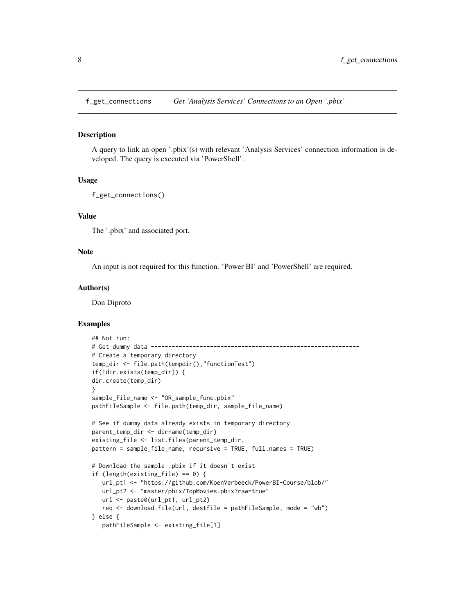<span id="page-7-0"></span>f\_get\_connections *Get 'Analysis Services' Connections to an Open '.pbix'*

### **Description**

A query to link an open '.pbix'(s) with relevant 'Analysis Services' connection information is developed. The query is executed via 'PowerShell'.

# Usage

```
f_get_connections()
```
# Value

The '.pbix' and associated port.

# Note

An input is not required for this function. 'Power BI' and 'PowerShell' are required.

#### Author(s)

Don Diproto

```
## Not run:
# Get dummy data ------------------------------------------------------------
# Create a temporary directory
temp_dir <- file.path(tempdir(),"functionTest")
if(!dir.exists(temp_dir)) {
dir.create(temp_dir)
}
sample_file_name <- "OR_sample_func.pbix"
pathFileSample <- file.path(temp_dir, sample_file_name)
# See if dummy data already exists in temporary directory
parent_temp_dir <- dirname(temp_dir)
existing_file <- list.files(parent_temp_dir,
pattern = sample_file_name, recursive = TRUE, full.names = TRUE)
# Download the sample .pbix if it doesn't exist
if (length(existing_file) == 0) {
  url_pt1 <- "https://github.com/KoenVerbeeck/PowerBI-Course/blob/"
  url_pt2 <- "master/pbix/TopMovies.pbix?raw=true"
  url <- paste0(url_pt1, url_pt2)
  req <- download.file(url, destfile = pathFileSample, mode = "wb")
} else {
  pathFileSample <- existing_file[1]
```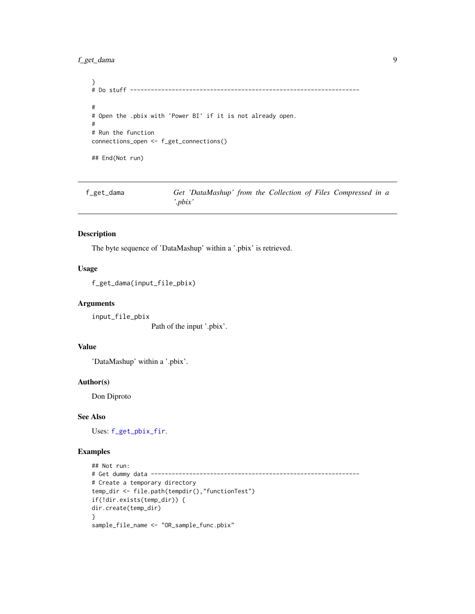# <span id="page-8-0"></span>f\_get\_dama 9

```
}
# Do stuff ------------------------------------------------------------------
#
# Open the .pbix with 'Power BI' if it is not already open.
#
# Run the function
connections_open <- f_get_connections()
## End(Not run)
```
<span id="page-8-1"></span>f\_get\_dama *Get 'DataMashup' from the Collection of Files Compressed in a '.pbix'*

# Description

The byte sequence of 'DataMashup' within a '.pbix' is retrieved.

# Usage

f\_get\_dama(input\_file\_pbix)

# Arguments

input\_file\_pbix

Path of the input '.pbix'.

# Value

'DataMashup' within a '.pbix'.

# Author(s)

Don Diproto

# See Also

Uses: [f\\_get\\_pbix\\_fir](#page-17-1).

```
## Not run:
# Get dummy data ------------------------------------------------------------
# Create a temporary directory
temp_dir <- file.path(tempdir(),"functionTest")
if(!dir.exists(temp_dir)) {
dir.create(temp_dir)
}
sample_file_name <- "OR_sample_func.pbix"
```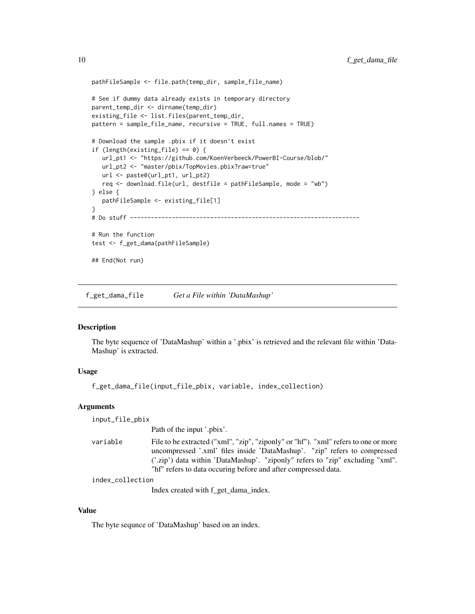```
pathFileSample <- file.path(temp_dir, sample_file_name)
# See if dummy data already exists in temporary directory
parent_temp_dir <- dirname(temp_dir)
existing_file <- list.files(parent_temp_dir,
pattern = sample_file_name, recursive = TRUE, full.names = TRUE)
# Download the sample .pbix if it doesn't exist
if (length(existing_file) == 0) {
  url_pt1 <- "https://github.com/KoenVerbeeck/PowerBI-Course/blob/"
  url_pt2 <- "master/pbix/TopMovies.pbix?raw=true"
  url <- paste0(url_pt1, url_pt2)
  req <- download.file(url, destfile = pathFileSample, mode = "wb")
} else {
  pathFileSample <- existing_file[1]
}
# Do stuff ------------------------------------------------------------------
# Run the function
test <- f_get_dama(pathFileSample)
## End(Not run)
```
<span id="page-9-1"></span>f\_get\_dama\_file *Get a File within 'DataMashup'*

# Description

The byte sequence of 'DataMashup' within a '.pbix' is retrieved and the relevant file within 'Data-Mashup' is extracted.

# Usage

f\_get\_dama\_file(input\_file\_pbix, variable, index\_collection)

#### Arguments

input\_file\_pbix

Path of the input '.pbix'.

variable File to be extracted ("xml", "zip", "ziponly" or "hf"). "xml" refers to one or more uncompressed '.xml' files inside 'DataMashup'. "zip" refers to compressed ('.zip') data within 'DataMashup'. "ziponly" refers to "zip" excluding "xml". "hf" refers to data occuring before and after compressed data.

```
index_collection
```
Index created with f\_get\_dama\_index.

# Value

The byte sequnce of 'DataMashup' based on an index.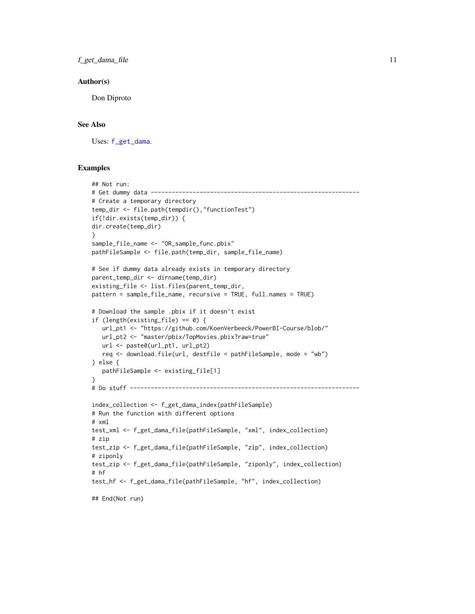<span id="page-10-0"></span>f\_get\_dama\_file 11

#### Author(s)

Don Diproto

# See Also

Uses: [f\\_get\\_dama](#page-8-1).

```
## Not run:
# Get dummy data ------------------------------------------------------------
# Create a temporary directory
temp_dir <- file.path(tempdir(),"functionTest")
if(!dir.exists(temp_dir)) {
dir.create(temp_dir)
}
sample_file_name <- "OR_sample_func.pbix"
pathFileSample <- file.path(temp_dir, sample_file_name)
# See if dummy data already exists in temporary directory
parent_temp_dir <- dirname(temp_dir)
existing_file <- list.files(parent_temp_dir,
pattern = sample_file_name, recursive = TRUE, full.names = TRUE)
# Download the sample .pbix if it doesn't exist
if (length(existing_file) == 0) {
  url_pt1 <- "https://github.com/KoenVerbeeck/PowerBI-Course/blob/"
  url_pt2 <- "master/pbix/TopMovies.pbix?raw=true"
  url <- paste0(url_pt1, url_pt2)
  req <- download.file(url, destfile = pathFileSample, mode = "wb")
} else {
  pathFileSample <- existing_file[1]
}
# Do stuff ------------------------------------------------------------------
index_collection <- f_get_dama_index(pathFileSample)
# Run the function with different options
# xml
test_xml <- f_get_dama_file(pathFileSample, "xml", index_collection)
# zip
test_zip <- f_get_dama_file(pathFileSample, "zip", index_collection)
# ziponly
test_zip <- f_get_dama_file(pathFileSample, "ziponly", index_collection)
# hf
test_hf <- f_get_dama_file(pathFileSample, "hf", index_collection)
## End(Not run)
```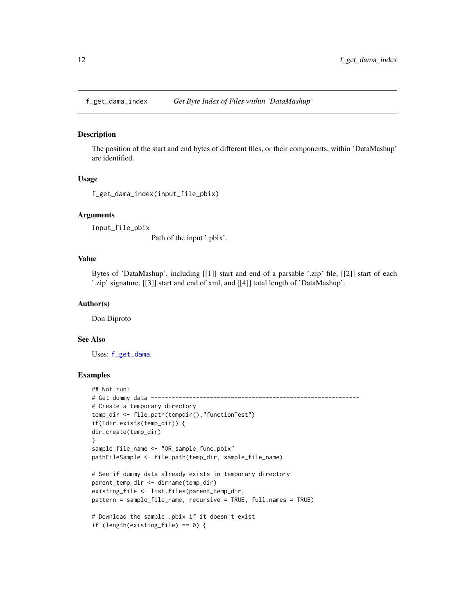<span id="page-11-1"></span><span id="page-11-0"></span>

#### Description

The position of the start and end bytes of different files, or their components, within 'DataMashup' are identified.

# Usage

f\_get\_dama\_index(input\_file\_pbix)

#### Arguments

input\_file\_pbix

Path of the input '.pbix'.

# Value

Bytes of 'DataMashup', including [[1]] start and end of a parsable '.zip' file, [[2]] start of each '.zip' signature, [[3]] start and end of xml, and [[4]] total length of 'DataMashup'.

#### Author(s)

Don Diproto

#### See Also

Uses: [f\\_get\\_dama](#page-8-1).

```
## Not run:
# Get dummy data ------------------------------------------------------------
# Create a temporary directory
temp_dir <- file.path(tempdir(),"functionTest")
if(!dir.exists(temp_dir)) {
dir.create(temp_dir)
}
sample_file_name <- "OR_sample_func.pbix"
pathFileSample <- file.path(temp_dir, sample_file_name)
# See if dummy data already exists in temporary directory
parent_temp_dir <- dirname(temp_dir)
existing_file <- list.files(parent_temp_dir,
pattern = sample_file_name, recursive = TRUE, full.names = TRUE)
# Download the sample .pbix if it doesn't exist
if (length(existing_file) == 0) {
```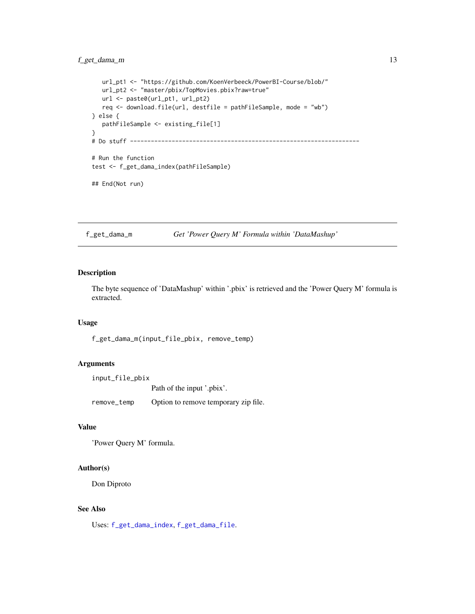# <span id="page-12-0"></span>f\_get\_dama\_m 13

```
url_pt1 <- "https://github.com/KoenVerbeeck/PowerBI-Course/blob/"
  url_pt2 <- "master/pbix/TopMovies.pbix?raw=true"
  url <- paste0(url_pt1, url_pt2)
  req <- download.file(url, destfile = pathFileSample, mode = "wb")
} else {
  pathFileSample <- existing_file[1]
}
# Do stuff ------------------------------------------------------------------
# Run the function
test <- f_get_dama_index(pathFileSample)
## End(Not run)
```
f\_get\_dama\_m *Get 'Power Query M' Formula within 'DataMashup'*

# Description

The byte sequence of 'DataMashup' within '.pbix' is retrieved and the 'Power Query M' formula is extracted.

#### Usage

f\_get\_dama\_m(input\_file\_pbix, remove\_temp)

# Arguments

input\_file\_pbix

Path of the input '.pbix'.

remove\_temp Option to remove temporary zip file.

# Value

'Power Query M' formula.

#### Author(s)

Don Diproto

#### See Also

Uses: [f\\_get\\_dama\\_index](#page-11-1), [f\\_get\\_dama\\_file](#page-9-1).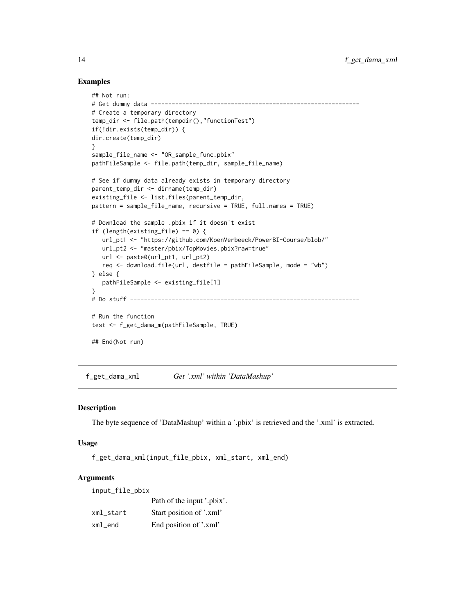# Examples

```
## Not run:
# Get dummy data ------------------------------------------------------------
# Create a temporary directory
temp_dir <- file.path(tempdir(),"functionTest")
if(!dir.exists(temp_dir)) {
dir.create(temp_dir)
}
sample_file_name <- "OR_sample_func.pbix"
pathFileSample <- file.path(temp_dir, sample_file_name)
# See if dummy data already exists in temporary directory
parent_temp_dir <- dirname(temp_dir)
existing_file <- list.files(parent_temp_dir,
pattern = sample_file_name, recursive = TRUE, full.names = TRUE)
# Download the sample .pbix if it doesn't exist
if (length(existing_file) == 0) {
   url_pt1 <- "https://github.com/KoenVerbeeck/PowerBI-Course/blob/"
   url_pt2 <- "master/pbix/TopMovies.pbix?raw=true"
  url <- paste0(url_pt1, url_pt2)
  req <- download.file(url, destfile = pathFileSample, mode = "wb")
} else {
   pathFileSample <- existing_file[1]
}
# Do stuff ------------------------------------------------------------------
# Run the function
test <- f_get_dama_m(pathFileSample, TRUE)
## End(Not run)
```
f\_get\_dama\_xml *Get '.xml' within 'DataMashup'*

#### Description

The byte sequence of 'DataMashup' within a '.pbix' is retrieved and the '.xml' is extracted.

# Usage

```
f_get_dama_xml(input_file_pbix, xml_start, xml_end)
```
# Arguments

input\_file\_pbix

|           | Path of the input '.pbix'. |
|-----------|----------------------------|
| xml start | Start position of '.xml'   |
| xml_end   | End position of '.xml'     |

<span id="page-13-0"></span>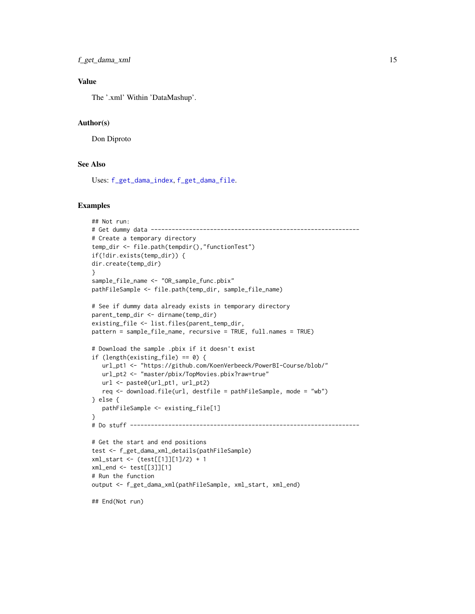```
f_get_dama_xml 15
```
# Value

The '.xml' Within 'DataMashup'.

# Author(s)

Don Diproto

# See Also

Uses: [f\\_get\\_dama\\_index](#page-11-1), [f\\_get\\_dama\\_file](#page-9-1).

# Examples

```
## Not run:
# Get dummy data ------------------------------------------------------------
# Create a temporary directory
temp_dir <- file.path(tempdir(),"functionTest")
if(!dir.exists(temp_dir)) {
dir.create(temp_dir)
}
sample_file_name <- "OR_sample_func.pbix"
pathFileSample <- file.path(temp_dir, sample_file_name)
# See if dummy data already exists in temporary directory
parent_temp_dir <- dirname(temp_dir)
existing_file <- list.files(parent_temp_dir,
pattern = sample_file_name, recursive = TRUE, full.names = TRUE)
# Download the sample .pbix if it doesn't exist
if (length(existing_file) == 0) {
   url_pt1 <- "https://github.com/KoenVerbeeck/PowerBI-Course/blob/"
   url_pt2 <- "master/pbix/TopMovies.pbix?raw=true"
   url <- paste0(url_pt1, url_pt2)
  req <- download.file(url, destfile = pathFileSample, mode = "wb")
} else {
   pathFileSample <- existing_file[1]
}
# Do stuff ------------------------------------------------------------------
# Get the start and end positions
test <- f_get_dama_xml_details(pathFileSample)
xml_start <- (test[[1]][1]/2) + 1
xml_end <- test[[3]][1]
# Run the function
output <- f_get_dama_xml(pathFileSample, xml_start, xml_end)
```
## End(Not run)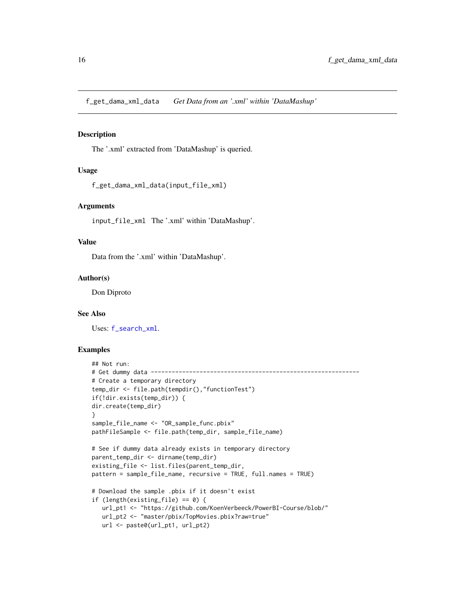<span id="page-15-0"></span>f\_get\_dama\_xml\_data *Get Data from an '.xml' within 'DataMashup'*

# Description

The '.xml' extracted from 'DataMashup' is queried.

# Usage

```
f_get_dama_xml_data(input_file_xml)
```
#### Arguments

input\_file\_xml The '.xml' within 'DataMashup'.

# Value

Data from the '.xml' within 'DataMashup'.

# Author(s)

Don Diproto

#### See Also

Uses: [f\\_search\\_xml](#page-27-1).

```
## Not run:
# Get dummy data ------------------------------------------------------------
# Create a temporary directory
temp_dir <- file.path(tempdir(),"functionTest")
if(!dir.exists(temp_dir)) {
dir.create(temp_dir)
}
sample_file_name <- "OR_sample_func.pbix"
pathFileSample <- file.path(temp_dir, sample_file_name)
# See if dummy data already exists in temporary directory
parent_temp_dir <- dirname(temp_dir)
existing_file <- list.files(parent_temp_dir,
pattern = sample_file_name, recursive = TRUE, full.names = TRUE)
# Download the sample .pbix if it doesn't exist
if (length(existing_file) == 0) {
  url_pt1 <- "https://github.com/KoenVerbeeck/PowerBI-Course/blob/"
  url_pt2 <- "master/pbix/TopMovies.pbix?raw=true"
  url <- paste0(url_pt1, url_pt2)
```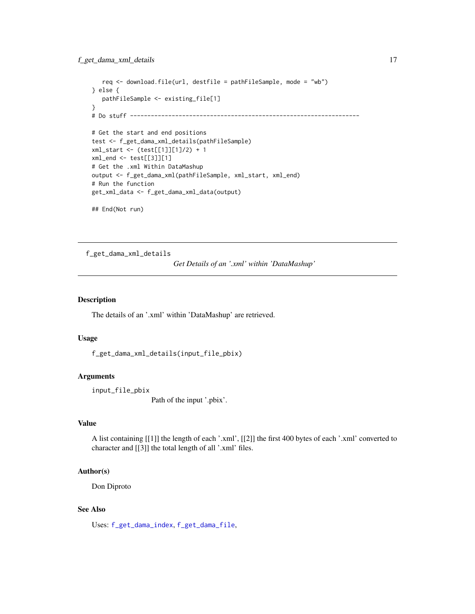```
req <- download.file(url, destfile = pathFileSample, mode = "wb")
} else {
  pathFileSample <- existing_file[1]
}
# Do stuff ------------------------------------------------------------------
# Get the start and end positions
test <- f_get_dama_xml_details(pathFileSample)
xml_start <- (test[[1]][1]/2) + 1
xml_end <- test[[3]][1]
# Get the .xml Within DataMashup
output <- f_get_dama_xml(pathFileSample, xml_start, xml_end)
# Run the function
get_xml_data <- f_get_dama_xml_data(output)
## End(Not run)
```
f\_get\_dama\_xml\_details *Get Details of an '.xml' within 'DataMashup'*

# Description

The details of an '.xml' within 'DataMashup' are retrieved.

#### Usage

```
f_get_dama_xml_details(input_file_pbix)
```
# Arguments

input\_file\_pbix

Path of the input '.pbix'.

# Value

A list containing [[1]] the length of each '.xml', [[2]] the first 400 bytes of each '.xml' converted to character and [[3]] the total length of all '.xml' files.

# Author(s)

Don Diproto

# See Also

Uses: [f\\_get\\_dama\\_index](#page-11-1), [f\\_get\\_dama\\_file](#page-9-1),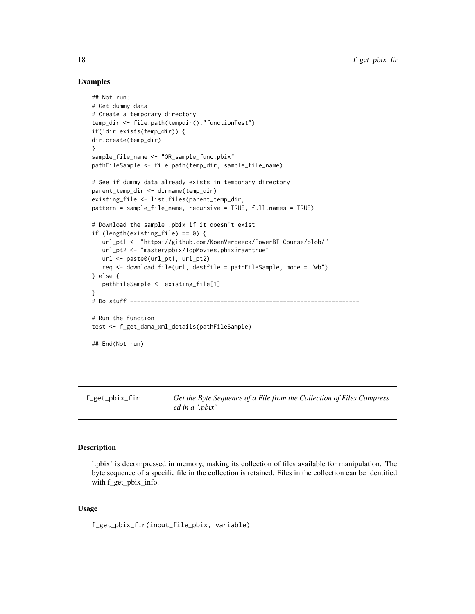# Examples

```
## Not run:
# Get dummy data ------------------------------------------------------------
# Create a temporary directory
temp_dir <- file.path(tempdir(),"functionTest")
if(!dir.exists(temp_dir)) {
dir.create(temp_dir)
}
sample_file_name <- "OR_sample_func.pbix"
pathFileSample <- file.path(temp_dir, sample_file_name)
# See if dummy data already exists in temporary directory
parent_temp_dir <- dirname(temp_dir)
existing_file <- list.files(parent_temp_dir,
pattern = sample_file_name, recursive = TRUE, full.names = TRUE)
# Download the sample .pbix if it doesn't exist
if (length(existing_file) == 0) {
  url_pt1 <- "https://github.com/KoenVerbeeck/PowerBI-Course/blob/"
  url_pt2 <- "master/pbix/TopMovies.pbix?raw=true"
  url <- paste0(url_pt1, url_pt2)
  req <- download.file(url, destfile = pathFileSample, mode = "wb")
} else {
  pathFileSample <- existing_file[1]
}
# Do stuff ------------------------------------------------------------------
# Run the function
test <- f_get_dama_xml_details(pathFileSample)
## End(Not run)
```
<span id="page-17-1"></span>f\_get\_pbix\_fir *Get the Byte Sequence of a File from the Collection of Files Compress ed in a '.pbix'*

# Description

'.pbix' is decompressed in memory, making its collection of files available for manipulation. The byte sequence of a specific file in the collection is retained. Files in the collection can be identified with f\_get\_pbix\_info.

# Usage

f\_get\_pbix\_fir(input\_file\_pbix, variable)

<span id="page-17-0"></span>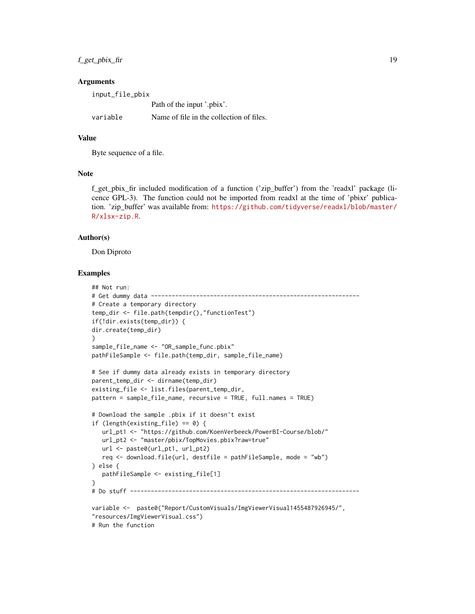f\_get\_pbix\_fir 19

#### **Arguments**

| input_file_pbix |                                          |  |  |  |
|-----------------|------------------------------------------|--|--|--|
|                 | Path of the input '.pbix'.               |  |  |  |
| variable        | Name of file in the collection of files. |  |  |  |

# Value

Byte sequence of a file.

# **Note**

f\_get\_pbix\_fir included modification of a function ('zip\_buffer') from the 'readxl' package (licence GPL-3). The function could not be imported from readxl at the time of 'pbixr' publication. 'zip\_buffer' was available from: [https://github.com/tidyverse/readxl/blob/master/](https://github.com/tidyverse/readxl/blob/master/R/xlsx-zip.R) [R/xlsx-zip.R](https://github.com/tidyverse/readxl/blob/master/R/xlsx-zip.R).

# Author(s)

Don Diproto

```
## Not run:
# Get dummy data ------------------------------------------------------------
# Create a temporary directory
temp_dir <- file.path(tempdir(),"functionTest")
if(!dir.exists(temp_dir)) {
dir.create(temp_dir)
}
sample_file_name <- "OR_sample_func.pbix"
pathFileSample <- file.path(temp_dir, sample_file_name)
# See if dummy data already exists in temporary directory
parent_temp_dir <- dirname(temp_dir)
existing_file <- list.files(parent_temp_dir,
pattern = sample_file_name, recursive = TRUE, full.names = TRUE)
# Download the sample .pbix if it doesn't exist
if (length(existing_file) == 0) {
   url_pt1 <- "https://github.com/KoenVerbeeck/PowerBI-Course/blob/"
   url_pt2 <- "master/pbix/TopMovies.pbix?raw=true"
   url <- paste0(url_pt1, url_pt2)
   req <- download.file(url, destfile = pathFileSample, mode = "wb")
} else {
   pathFileSample <- existing_file[1]
}
# Do stuff ------------------------------------------------------------------
variable <- paste0("Report/CustomVisuals/ImgViewerVisual1455487926945/",
"resources/ImgViewerVisual.css")
# Run the function
```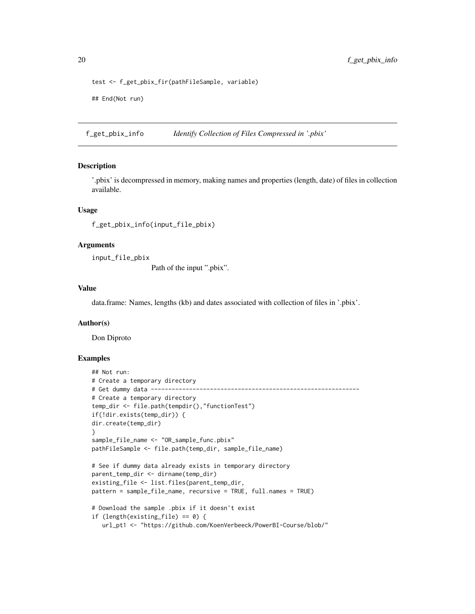```
test <- f_get_pbix_fir(pathFileSample, variable)
## End(Not run)
```
<span id="page-19-1"></span>f\_get\_pbix\_info *Identify Collection of Files Compressed in '.pbix'*

#### Description

'.pbix' is decompressed in memory, making names and properties (length, date) of files in collection available.

#### Usage

```
f_get_pbix_info(input_file_pbix)
```
#### Arguments

input\_file\_pbix

Path of the input ".pbix".

#### Value

data.frame: Names, lengths (kb) and dates associated with collection of files in '.pbix'.

# Author(s)

Don Diproto

```
## Not run:
# Create a temporary directory
# Get dummy data ------------------------------------------------------------
# Create a temporary directory
temp_dir <- file.path(tempdir(),"functionTest")
if(!dir.exists(temp_dir)) {
dir.create(temp_dir)
}
sample_file_name <- "OR_sample_func.pbix"
pathFileSample <- file.path(temp_dir, sample_file_name)
# See if dummy data already exists in temporary directory
parent_temp_dir <- dirname(temp_dir)
existing_file <- list.files(parent_temp_dir,
pattern = sample_file_name, recursive = TRUE, full.names = TRUE)
# Download the sample .pbix if it doesn't exist
if (length(existing_file) == 0) {
  url_pt1 <- "https://github.com/KoenVerbeeck/PowerBI-Course/blob/"
```
<span id="page-19-0"></span>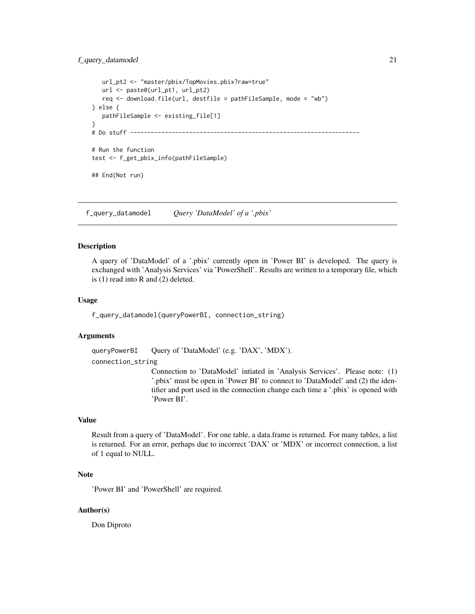```
url_pt2 <- "master/pbix/TopMovies.pbix?raw=true"
  url <- paste0(url_pt1, url_pt2)
  req <- download.file(url, destfile = pathFileSample, mode = "wb")
} else {
  pathFileSample <- existing_file[1]
}
# Do stuff ------------------------------------------------------------------
# Run the function
test <- f_get_pbix_info(pathFileSample)
## End(Not run)
```
f\_query\_datamodel *Query 'DataModel' of a '.pbix'*

## Description

A query of 'DataModel' of a '.pbix' currently open in 'Power BI' is developed. The query is exchanged with 'Analysis Services' via 'PowerShell'. Results are written to a temporary file, which is (1) read into R and (2) deleted.

#### Usage

f\_query\_datamodel(queryPowerBI, connection\_string)

### Arguments

queryPowerBI Query of 'DataModel' (e.g. 'DAX', 'MDX').

connection\_string

Connection to 'DataModel' intiated in 'Analysis Services'. Please note: (1) '.pbix' must be open in 'Power BI' to connect to 'DataModel' and (2) the identifier and port used in the connection change each time a '.pbix' is opened with 'Power BI'.

# Value

Result from a query of 'DataModel'. For one table, a data.frame is returned. For many tables, a list is returned. For an error, perhaps due to incorrect 'DAX' or 'MDX' or incorrect connection, a list of 1 equal to NULL.

# Note

'Power BI' and 'PowerShell' are required.

# Author(s)

Don Diproto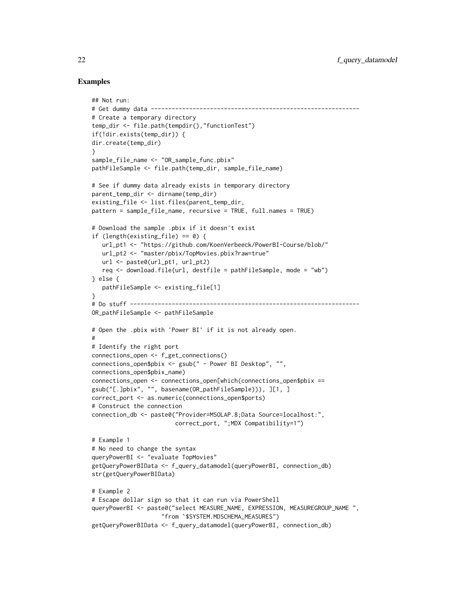```
## Not run:
# Get dummy data ------------------------------------------------------------
# Create a temporary directory
temp_dir <- file.path(tempdir(),"functionTest")
if(!dir.exists(temp_dir)) {
dir.create(temp_dir)
}
sample file name <- "OR sample func.pbix"
pathFileSample <- file.path(temp_dir, sample_file_name)
# See if dummy data already exists in temporary directory
parent_temp_dir <- dirname(temp_dir)
existing_file <- list.files(parent_temp_dir,
pattern = sample_file_name, recursive = TRUE, full.names = TRUE)
# Download the sample .pbix if it doesn't exist
if (length(existing_file) == 0) {
  url_pt1 <- "https://github.com/KoenVerbeeck/PowerBI-Course/blob/"
  url_pt2 <- "master/pbix/TopMovies.pbix?raw=true"
  url <- paste0(url_pt1, url_pt2)
  req \leq download.file(url, destfile = pathFileSample, mode = "wb")
} else {
  pathFileSample <- existing_file[1]
}
# Do stuff ------------------------------------------------------------------
OR_pathFileSample <- pathFileSample
# Open the .pbix with 'Power BI' if it is not already open.
#
# Identify the right port
connections_open <- f_get_connections()
connections_open$pbix <- gsub(" - Power BI Desktop", "",
connections_open$pbix_name)
connections_open <- connections_open[which(connections_open$pbix ==
gsub("[.]pbix", "", basename(OR_pathFileSample))), ][1, ]
correct_port <- as.numeric(connections_open$ports)
# Construct the connection
connection_db <- paste0("Provider=MSOLAP.8;Data Source=localhost:",
                        correct_port, ";MDX Compatibility=1")
# Example 1
# No need to change the syntax
queryPowerBI <- "evaluate TopMovies"
getQueryPowerBIData <- f_query_datamodel(queryPowerBI, connection_db)
str(getQueryPowerBIData)
# Example 2
# Escape dollar sign so that it can run via PowerShell
queryPowerBI <- paste0("select MEASURE_NAME, EXPRESSION, MEASUREGROUP_NAME ",
                    "from `$SYSTEM.MDSCHEMA_MEASURES")
getQueryPowerBIData <- f_query_datamodel(queryPowerBI, connection_db)
```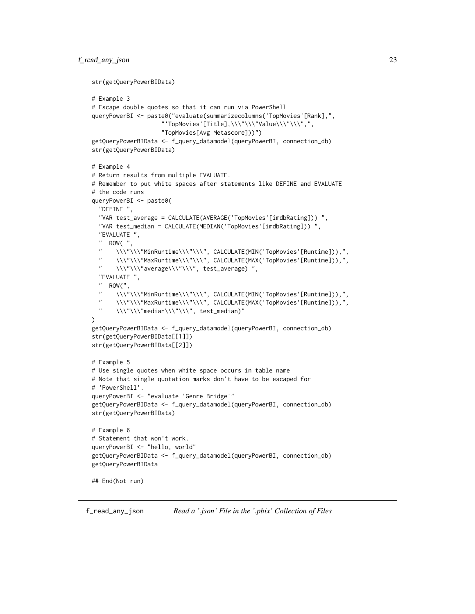```
str(getQueryPowerBIData)
# Example 3
# Escape double quotes so that it can run via PowerShell
queryPowerBI <- paste0("evaluate(summarizecolumns('TopMovies'[Rank],",
                    "'TopMovies'[Title],\\\"\\\"Value\\\"\\\",",
                    "TopMovies[Avg Metascore]))")
getQueryPowerBIData <- f_query_datamodel(queryPowerBI, connection_db)
str(getQueryPowerBIData)
# Example 4
# Return results from multiple EVALUATE.
# Remember to put white spaces after statements like DEFINE and EVALUATE
# the code runs
queryPowerBI <- paste0(
  "DEFINE ",
  "VAR test_average = CALCULATE(AVERAGE('TopMovies'[imdbRating])) ",
  "VAR test_median = CALCULATE(MEDIAN('TopMovies'[imdbRating])) ",
  "EVALUATE ",
  " ROW(",
  "\quad\hbox{\label{thm:main}${\rm\bf\small{N}}\rm{N}}\rm{N} \\\"\\\"MinRuntime\\\"\\\", CALCULATE(MIN('TopMovies'[Runtime])),",
       " \\\"\\\"MaxRuntime\\\"\\\", CALCULATE(MAX('TopMovies'[Runtime])),",
  " \\\"\\\"average\\\"\\\", test_average) ",
  "EVALUATE ",
  " ROW(",
  " \\\"\\\"MinRuntime\\\"\\\", CALCULATE(MIN('TopMovies'[Runtime])),",
  " \\\"\\\"MaxRuntime\\\"\\\", CALCULATE(MAX('TopMovies'[Runtime])),",
  " \\\"\\\"median\\\"\\\", test_median)"
)
getQueryPowerBIData <- f_query_datamodel(queryPowerBI, connection_db)
str(getQueryPowerBIData[[1]])
str(getQueryPowerBIData[[2]])
# Example 5
# Use single quotes when white space occurs in table name
# Note that single quotation marks don't have to be escaped for
# 'PowerShell'.
queryPowerBI <- "evaluate 'Genre Bridge'"
getQueryPowerBIData <- f_query_datamodel(queryPowerBI, connection_db)
str(getQueryPowerBIData)
# Example 6
# Statement that won't work.
queryPowerBI <- "hello, world"
getQueryPowerBIData <- f_query_datamodel(queryPowerBI, connection_db)
getQueryPowerBIData
## End(Not run)
```
<span id="page-22-1"></span>

f\_read\_any\_json *Read a '.json' File in the '.pbix' Collection of Files*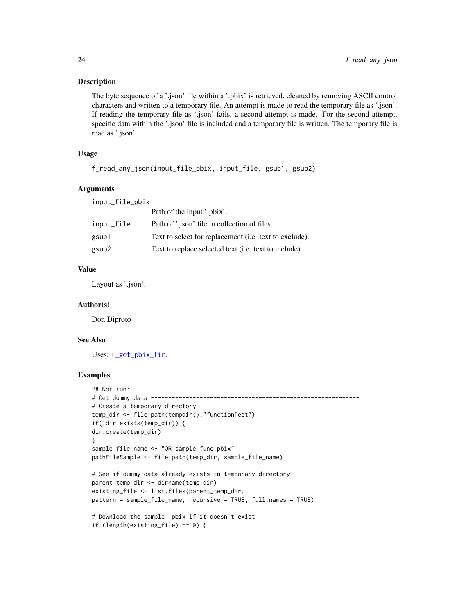# <span id="page-23-0"></span>Description

The byte sequence of a '.json' file within a '.pbix' is retrieved, cleaned by removing ASCII control characters and written to a temporary file. An attempt is made to read the temporary file as '.json'. If reading the temporary file as '.json' fails, a second attempt is made. For the second attempt, specific data within the '.json' file is included and a temporary file is written. The temporary file is read as '.json'.

# Usage

```
f_read_any_json(input_file_pbix, input_file, gsub1, gsub2)
```
# Arguments

input\_file\_pbix

|            | Path of the input '.pbix'.                                    |
|------------|---------------------------------------------------------------|
| input_file | Path of '.json' file in collection of files.                  |
| gsub1      | Text to select for replacement (i.e. text to exclude).        |
| gsub2      | Text to replace selected text ( <i>i.e.</i> text to include). |
|            |                                                               |

# Value

Layout as '.json'.

# Author(s)

Don Diproto

# See Also

Uses: [f\\_get\\_pbix\\_fir](#page-17-1).

```
## Not run:
# Get dummy data ------------------------------------------------------------
# Create a temporary directory
temp_dir <- file.path(tempdir(),"functionTest")
if(!dir.exists(temp_dir)) {
dir.create(temp_dir)
}
sample_file_name <- "OR_sample_func.pbix"
pathFileSample <- file.path(temp_dir, sample_file_name)
# See if dummy data already exists in temporary directory
parent_temp_dir <- dirname(temp_dir)
existing_file <- list.files(parent_temp_dir,
pattern = sample_file_name, recursive = TRUE, full.names = TRUE)
# Download the sample .pbix if it doesn't exist
if (length(existing_file) == 0) {
```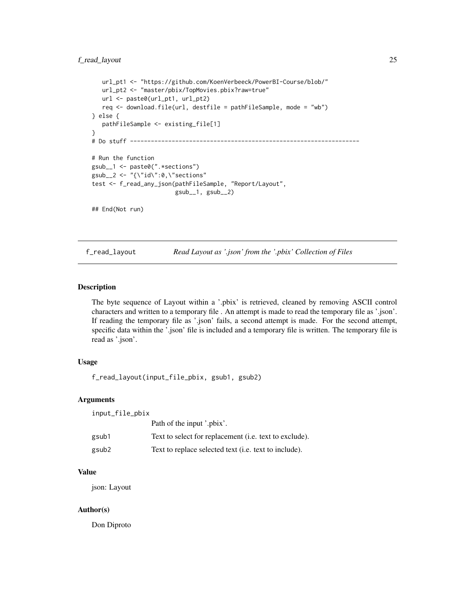```
url_pt1 <- "https://github.com/KoenVerbeeck/PowerBI-Course/blob/"
   url_pt2 <- "master/pbix/TopMovies.pbix?raw=true"
   url <- paste0(url_pt1, url_pt2)
   req <- download.file(url, destfile = pathFileSample, mode = "wb")
} else {
   pathFileSample <- existing_file[1]
}
# Do stuff ------------------------------------------------------------------
# Run the function
gsub__1 <- paste0(".*sections")
gsub__2 <- "\{\}'i\text{d}\}": 0, \{\"{\text{sections}\}\"test <- f_read_any_json(pathFileSample, "Report/Layout",
                         gsub__1, gsub__2)
## End(Not run)
```
f\_read\_layout *Read Layout as '.json' from the '.pbix' Collection of Files*

# Description

The byte sequence of Layout within a '.pbix' is retrieved, cleaned by removing ASCII control characters and written to a temporary file . An attempt is made to read the temporary file as '.json'. If reading the temporary file as '.json' fails, a second attempt is made. For the second attempt, specific data within the '.json' file is included and a temporary file is written. The temporary file is read as '.json'.

# Usage

f\_read\_layout(input\_file\_pbix, gsub1, gsub2)

#### Arguments

input\_file\_pbix

|       | Path of the input '.pbix'.                                     |
|-------|----------------------------------------------------------------|
| gsub1 | Text to select for replacement ( <i>i.e.</i> text to exclude). |
| gsub2 | Text to replace selected text ( <i>i.e.</i> text to include).  |

#### Value

json: Layout

## Author(s)

Don Diproto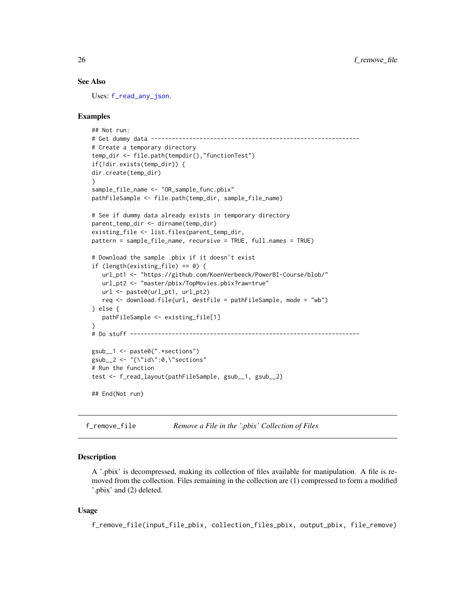# See Also

Uses: [f\\_read\\_any\\_json](#page-22-1).

# Examples

```
## Not run:
# Get dummy data ------------------------------------------------------------
# Create a temporary directory
temp_dir <- file.path(tempdir(),"functionTest")
if(!dir.exists(temp_dir)) {
dir.create(temp_dir)
}
sample_file_name <- "OR_sample_func.pbix"
pathFileSample <- file.path(temp_dir, sample_file_name)
# See if dummy data already exists in temporary directory
parent_temp_dir <- dirname(temp_dir)
existing_file <- list.files(parent_temp_dir,
pattern = sample_file_name, recursive = TRUE, full.names = TRUE)
# Download the sample .pbix if it doesn't exist
if (length(existing_file) == 0) {
  url_pt1 <- "https://github.com/KoenVerbeeck/PowerBI-Course/blob/"
  url_pt2 <- "master/pbix/TopMovies.pbix?raw=true"
  url <- paste0(url_pt1, url_pt2)
  req <- download.file(url, destfile = pathFileSample, mode = "wb")
} else {
  pathFileSample <- existing_file[1]
}
# Do stuff ------------------------------------------------------------------
gsub__1 <- paste0(".*sections")
gsub__2 <- "\{\}'i d\" : 0, \``sections"# Run the function
test <- f_read_layout(pathFileSample, gsub__1, gsub__2)
## End(Not run)
```
<span id="page-25-1"></span>f\_remove\_file *Remove a File in the '.pbix' Collection of Files*

#### Description

A '.pbix' is decompressed, making its collection of files available for manipulation. A file is removed from the collection. Files remaining in the collection are (1) compressed to form a modified '.pbix' and (2) deleted.

# Usage

f\_remove\_file(input\_file\_pbix, collection\_files\_pbix, output\_pbix, file\_remove)

<span id="page-25-0"></span>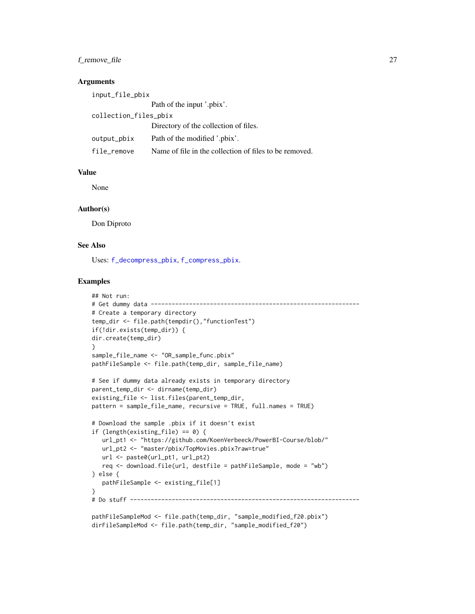# <span id="page-26-0"></span>f\_remove\_file 27

# **Arguments**

| input_file_pbix       |                                                        |  |  |  |
|-----------------------|--------------------------------------------------------|--|--|--|
|                       | Path of the input '.pbix'.                             |  |  |  |
| collection_files_pbix |                                                        |  |  |  |
|                       | Directory of the collection of files.                  |  |  |  |
| output_pbix           | Path of the modified '.pbix'.                          |  |  |  |
| file_remove           | Name of file in the collection of files to be removed. |  |  |  |

# Value

None

# Author(s)

Don Diproto

# See Also

Uses: [f\\_decompress\\_pbix](#page-4-1), [f\\_compress\\_pbix](#page-3-1).

```
## Not run:
# Get dummy data ------------------------------------------------------------
# Create a temporary directory
temp_dir <- file.path(tempdir(),"functionTest")
if(!dir.exists(temp_dir)) {
dir.create(temp_dir)
}
sample_file_name <- "OR_sample_func.pbix"
pathFileSample <- file.path(temp_dir, sample_file_name)
# See if dummy data already exists in temporary directory
parent_temp_dir <- dirname(temp_dir)
existing_file <- list.files(parent_temp_dir,
pattern = sample_file_name, recursive = TRUE, full.names = TRUE)
# Download the sample .pbix if it doesn't exist
if (length(existing_file) == 0) {
  url_pt1 <- "https://github.com/KoenVerbeeck/PowerBI-Course/blob/"
   url_pt2 <- "master/pbix/TopMovies.pbix?raw=true"
  url <- paste0(url_pt1, url_pt2)
   req <- download.file(url, destfile = pathFileSample, mode = "wb")
} else {
   pathFileSample <- existing_file[1]
}
# Do stuff ------------------------------------------------------------------
pathFileSampleMod <- file.path(temp_dir, "sample_modified_f20.pbix")
dirFileSampleMod <- file.path(temp_dir, "sample_modified_f20")
```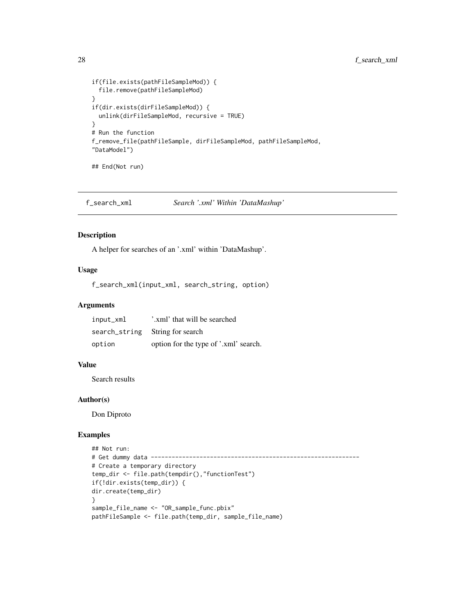```
if(file.exists(pathFileSampleMod)) {
  file.remove(pathFileSampleMod)
}
if(dir.exists(dirFileSampleMod)) {
  unlink(dirFileSampleMod, recursive = TRUE)
}
# Run the function
f_remove_file(pathFileSample, dirFileSampleMod, pathFileSampleMod,
"DataModel")
## End(Not run)
```
<span id="page-27-1"></span>f\_search\_xml *Search '.xml' Within 'DataMashup'*

# Description

A helper for searches of an '.xml' within 'DataMashup'.

# Usage

f\_search\_xml(input\_xml, search\_string, option)

# Arguments

| input_xml | '.xml' that will be searched          |
|-----------|---------------------------------------|
|           | search_string String for search       |
| option    | option for the type of '.xml' search. |

# Value

Search results

#### Author(s)

Don Diproto

```
## Not run:
# Get dummy data ------------------------------------------------------------
# Create a temporary directory
temp_dir <- file.path(tempdir(),"functionTest")
if(!dir.exists(temp_dir)) {
dir.create(temp_dir)
}
sample_file_name <- "OR_sample_func.pbix"
pathFileSample <- file.path(temp_dir, sample_file_name)
```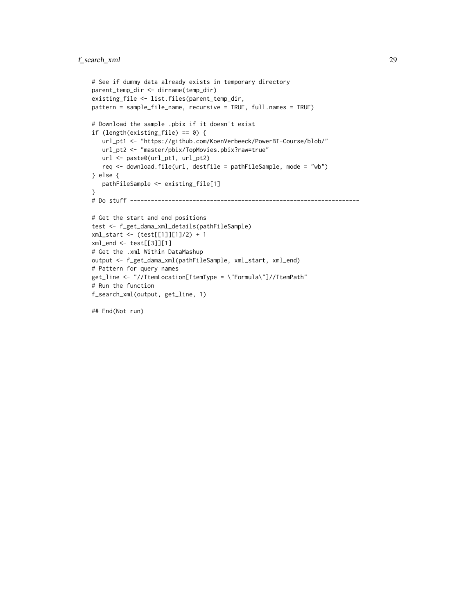# f\_search\_xml 29

```
# See if dummy data already exists in temporary directory
parent_temp_dir <- dirname(temp_dir)
existing_file <- list.files(parent_temp_dir,
pattern = sample_file_name, recursive = TRUE, full.names = TRUE)
# Download the sample .pbix if it doesn't exist
if (length(existing_file) == 0) {
   url_pt1 <- "https://github.com/KoenVerbeeck/PowerBI-Course/blob/"
   url_pt2 <- "master/pbix/TopMovies.pbix?raw=true"
  url <- paste0(url_pt1, url_pt2)
  req <- download.file(url, destfile = pathFileSample, mode = "wb")
} else {
   pathFileSample <- existing_file[1]
}
# Do stuff ------------------------------------------------------------------
# Get the start and end positions
test <- f_get_dama_xml_details(pathFileSample)
xml_start <- (test[[1]][1]/2) + 1
xml_end <- test[[3]][1]
# Get the .xml Within DataMashup
output <- f_get_dama_xml(pathFileSample, xml_start, xml_end)
# Pattern for query names
get_line <- "//ItemLocation[ItemType = \"Formula\"]//ItemPath"
# Run the function
f_search_xml(output, get_line, 1)
```
## End(Not run)